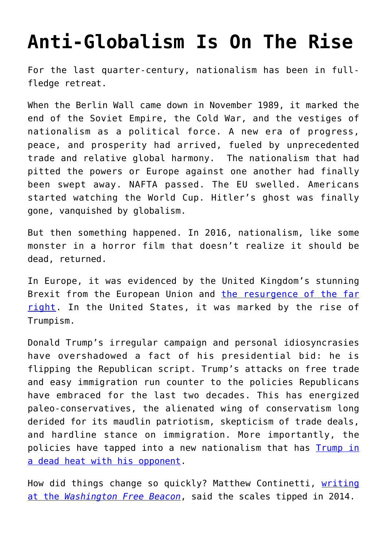## **[Anti-Globalism Is On The Rise](https://intellectualtakeout.org/2016/09/anti-globalism-is-on-the-rise/)**

For the last quarter-century, nationalism has been in fullfledge retreat.

When the Berlin Wall came down in November 1989, it marked the end of the Soviet Empire, the Cold War, and the vestiges of nationalism as a political force. A new era of progress, peace, and prosperity had arrived, fueled by unprecedented trade and relative global harmony. The nationalism that had pitted the powers or Europe against one another had finally been swept away. NAFTA passed. The EU swelled. Americans started watching the World Cup. Hitler's ghost was finally gone, vanquished by globalism.

But then something happened. In 2016, nationalism, like some monster in a horror film that doesn't realize it should be dead, returned.

In Europe, it was evidenced by the United Kingdom's stunning Brexit from the European Union and [the resurgence of the far](http://www.reuters.com/article/us-austria-election-farright-idUSKCN1140QQ) [right](http://www.reuters.com/article/us-austria-election-farright-idUSKCN1140QQ). In the United States, it was marked by the rise of Trumpism.

Donald Trump's irregular campaign and personal idiosyncrasies have overshadowed a fact of his presidential bid: he is flipping the Republican script. Trump's attacks on free trade and easy immigration run counter to the policies Republicans have embraced for the last two decades. This has energized paleo-conservatives, the alienated wing of conservatism long derided for its maudlin patriotism, skepticism of trade deals, and hardline stance on immigration. More importantly, the policies have tapped into a new nationalism that has **[Trump in](http://www.realclearpolitics.com/epolls/2016/president/us/general_election_trump_vs_clinton-5491.html)** [a dead heat with his opponent](http://www.realclearpolitics.com/epolls/2016/president/us/general_election_trump_vs_clinton-5491.html).

How did things change so quickly? Matthew Continetti, [writing](http://freebeacon.com/columns/weird-wild-stuff/) [at the](http://freebeacon.com/columns/weird-wild-stuff/) *[Washington Free Beacon](http://freebeacon.com/columns/weird-wild-stuff/)*, said the scales tipped in 2014.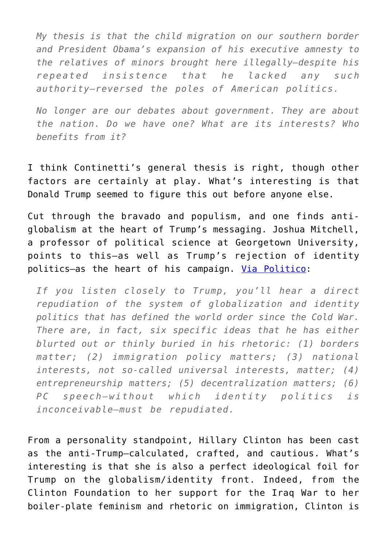*My thesis is that the child migration on our southern border and President Obama's expansion of his executive amnesty to the relatives of minors brought here illegally—despite his repeated insistence that he lacked any such authority—reversed the poles of American politics.*

*No longer are our debates about government. They are about the nation. Do we have one? What are its interests? Who benefits from it?*

I think Continetti's general thesis is right, though other factors are certainly at play. What's interesting is that Donald Trump seemed to figure this out before anyone else.

Cut through the bravado and populism, and one finds antiglobalism at the heart of Trump's messaging. Joshua Mitchell, a professor of political science at Georgetown University, points to this—as well as Trump's rejection of identity politics—as the heart of his campaign. [Via Politico:](http://www.politico.com/magazine/story/2016/09/donald-trump-ideas-2016-214244)

*If you listen closely to Trump, you'll hear a direct repudiation of the system of globalization and identity politics that has defined the world order since the Cold War. There are, in fact, six specific ideas that he has either blurted out or thinly buried in his rhetoric: (1) borders matter; (2) immigration policy matters; (3) national interests, not so-called universal interests, matter; (4) entrepreneurship matters; (5) decentralization matters; (6) PC speech—without which identity politics is inconceivable—must be repudiated.*

From a personality standpoint, Hillary Clinton has been cast as the anti-Trump—calculated, crafted, and cautious. What's interesting is that she is also a perfect ideological foil for Trump on the globalism/identity front. Indeed, from the Clinton Foundation to her support for the Iraq War to her boiler-plate feminism and rhetoric on immigration, Clinton is